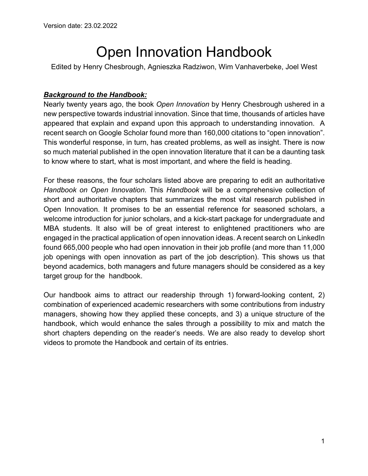# Open Innovation Handbook

Edited by Henry Chesbrough, Agnieszka Radziwon, Wim Vanhaverbeke, Joel West

# *Background to the Handbook:*

Nearly twenty years ago, the book *Open Innovation* by Henry Chesbrough ushered in a new perspective towards industrial innovation. Since that time, thousands of articles have appeared that explain and expand upon this approach to understanding innovation. A recent search on Google Scholar found more than 160,000 citations to "open innovation". This wonderful response, in turn, has created problems, as well as insight. There is now so much material published in the open innovation literature that it can be a daunting task to know where to start, what is most important, and where the field is heading.

For these reasons, the four scholars listed above are preparing to edit an authoritative *Handbook on Open Innovation.* This *Handbook* will be a comprehensive collection of short and authoritative chapters that summarizes the most vital research published in Open Innovation. It promises to be an essential reference for seasoned scholars, a welcome introduction for junior scholars, and a kick-start package for undergraduate and MBA students. It also will be of great interest to enlightened practitioners who are engaged in the practical application of open innovation ideas. A recent search on LinkedIn found 665,000 people who had open innovation in their job profile (and more than 11,000 job openings with open innovation as part of the job description). This shows us that beyond academics, both managers and future managers should be considered as a key target group for the handbook.

Our handbook aims to attract our readership through 1) forward-looking content, 2) combination of experienced academic researchers with some contributions from industry managers, showing how they applied these concepts, and 3) a unique structure of the handbook, which would enhance the sales through a possibility to mix and match the short chapters depending on the reader's needs. We are also ready to develop short videos to promote the Handbook and certain of its entries.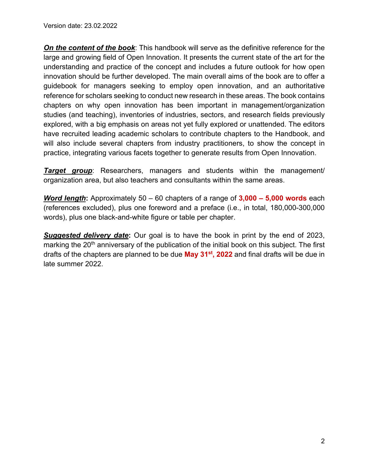*On the content of the book*: This handbook will serve as the definitive reference for the large and growing field of Open Innovation. It presents the current state of the art for the understanding and practice of the concept and includes a future outlook for how open innovation should be further developed. The main overall aims of the book are to offer a guidebook for managers seeking to employ open innovation, and an authoritative reference for scholars seeking to conduct new research in these areas. The book contains chapters on why open innovation has been important in management/organization studies (and teaching), inventories of industries, sectors, and research fields previously explored, with a big emphasis on areas not yet fully explored or unattended. The editors have recruited leading academic scholars to contribute chapters to the Handbook, and will also include several chapters from industry practitioners, to show the concept in practice, integrating various facets together to generate results from Open Innovation.

*Target group*: Researchers, managers and students within the management/ organization area, but also teachers and consultants within the same areas.

*Word length***:** Approximately 50 – 60 chapters of a range of **3,000 – 5,000 words** each (references excluded), plus one foreword and a preface (i.e., in total, 180,000-300,000 words), plus one black-and-white figure or table per chapter.

**Suggested delivery date:** Our goal is to have the book in print by the end of 2023, marking the 20<sup>th</sup> anniversary of the publication of the initial book on this subject. The first drafts of the chapters are planned to be due **May 31st, 2022** and final drafts will be due in late summer 2022.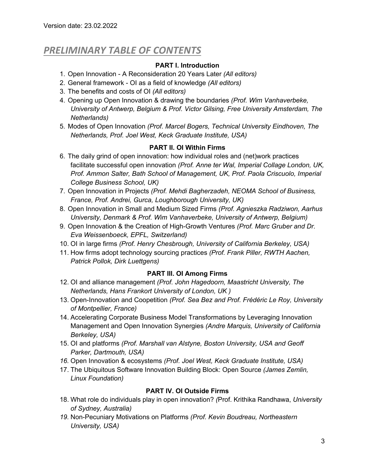# *PRELIMINARY TABLE OF CONTENTS*

#### **PART I. Introduction**

- 1. Open Innovation A Reconsideration 20 Years Later *(All editors)*
- 2. General framework OI as a field of knowledge *(All editors)*
- 3. The benefits and costs of OI *(All editors)*
- 4. Opening up Open Innovation & drawing the boundaries *(Prof. Wim Vanhaverbeke, University of Antwerp, Belgium & Prof. Victor Gilsing, Free University Amsterdam, The Netherlands)*
- 5. Modes of Open Innovation *(Prof. Marcel Bogers, Technical University Eindhoven, The Netherlands, Prof. Joel West, Keck Graduate Institute, USA)*

# **PART II. OI Within Firms**

- 6. The daily grind of open innovation: how individual roles and (net)work practices facilitate successful open innovation *(Prof. Anne ter Wal, Imperial Collage London, UK, Prof. Ammon Salter, Bath School of Management, UK, Prof. Paola Criscuolo, Imperial College Business School, UK)*
- 7. Open Innovation in Projects *(Prof. Mehdi Bagherzadeh, NEOMA School of Business, France, Prof. Andrei, Gurca, Loughborough University, UK)*
- 8. Open Innovation in Small and Medium Sized Firms *(Prof. Agnieszka Radziwon, Aarhus University, Denmark & Prof. Wim Vanhaverbeke, University of Antwerp, Belgium)*
- 9. Open Innovation & the Creation of High-Growth Ventures *(Prof. Marc Gruber and Dr. Eva Weissenboeck, EPFL, Switzerland)*
- 10. OI in large firms *(Prof. Henry Chesbrough, University of California Berkeley, USA)*
- 11. How firms adopt technology sourcing practices *(Prof. Frank Piller, RWTH Aachen, Patrick Pollok, Dirk Luettgens)*

#### **PART III. OI Among Firms**

- 12. OI and alliance management *(Prof. John Hagedoorn, Maastricht University, The Netherlands, Hans Frankort University of London, UK )*
- 13. Open-Innovation and Coopetition *(Prof. Sea Bez and Prof. Frédéric Le Roy, University of Montpellier, France)*
- 14. Accelerating Corporate Business Model Transformations by Leveraging Innovation Management and Open Innovation Synergies *(Andre Marquis, University of California Berkeley, USA)*
- 15. OI and platforms *(Prof. Marshall van Alstyne, Boston University, USA and Geoff Parker, Dartmouth, USA)*
- *16.* Open Innovation & ecosystems *(Prof. Joel West, Keck Graduate Institute, USA)*
- 17. The Ubiquitous Software Innovation Building Block: Open Source *(James Zemlin, Linux Foundation)*

#### **PART IV. OI Outside Firms**

- 18. What role do individuals play in open innovation? *(*Prof. Krithika Randhawa, *University of Sydney, Australia)*
- *19.* Non-Pecuniary Motivations on Platforms *(Prof. Kevin Boudreau, Northeastern University, USA)*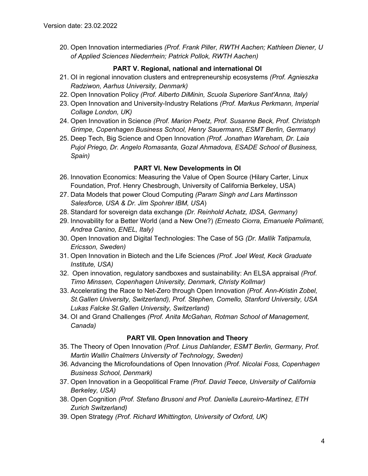20. Open Innovation intermediaries *(Prof. Frank Piller, RWTH Aachen; Kathleen Diener, U of Applied Sciences Niederrhein; Patrick Pollok, RWTH Aachen)*

# **PART V. Regional, national and international OI**

- 21. OI in regional innovation clusters and entrepreneurship ecosystems *(Prof. Agnieszka Radziwon, Aarhus University, Denmark)*
- 22. Open Innovation Policy *(Prof. Alberto DiMinin, Scuola Superiore Sant'Anna, Italy)*
- 23. Open Innovation and University-Industry Relations *(Prof. Markus Perkmann, Imperial Collage London, UK)*
- 24. Open Innovation in Science *(Prof. Marion Poetz, Prof. Susanne Beck, Prof. Christoph Grimpe, Copenhagen Business School, Henry Sauermann, ESMT Berlin, Germany)*
- 25. Deep Tech, Big Science and Open Innovation *(Prof. Jonathan Wareham, Dr. Laia Pujol Priego, Dr. Angelo Romasanta, Gozal Ahmadova, ESADE School of Business, Spain)*

# **PART VI. New Developments in OI**

- 26. Innovation Economics: Measuring the Value of Open Source (Hilary Carter, Linux Foundation, Prof. Henry Chesbrough, University of California Berkeley, USA)
- 27. Data Models that power Cloud Computing *(Param Singh and Lars Martinsson Salesforce, USA & Dr. Jim Spohrer IBM, USA*)
- 28. Standard for sovereign data exchange *(Dr. Reinhold Achatz, IDSA, Germany)*
- 29. Innovability for a Better World (and a New One?) *(Ernesto Ciorra, Emanuele Polimanti, Andrea Canino, ENEL, Italy)*
- 30. Open Innovation and Digital Technologies: The Case of 5G *(Dr. Mallik Tatipamula, Ericsson, Sweden)*
- 31. Open Innovation in Biotech and the Life Sciences *(Prof. Joel West, Keck Graduate Institute, USA)*
- 32. Open innovation, regulatory sandboxes and sustainability: An ELSA appraisal *(Prof. Timo Minssen, Copenhagen University, Denmark, Christy Kollmar)*
- 33. Accelerating the Race to Net-Zero through Open Innovation *(Prof. Ann-Kristin Zobel, St.Gallen University, Switzerland), Prof. Stephen, Comello, Stanford University, USA Lukas Falcke St.Gallen University, Switzerland)*
- 34. OI and Grand Challenges *(Prof. Anita McGahan, Rotman School of Management, Canada)*

# **PART VII. Open Innovation and Theory**

- 35. The Theory of Open Innovation *(Prof. Linus Dahlander, ESMT Berlin, Germany, Prof. Martin Wallin Chalmers University of Technology, Sweden)*
- *36.* Advancing the Microfoundations of Open Innovation *(Prof. Nicolai Foss, Copenhagen Business School, Denmark)*
- 37. Open Innovation in a Geopolitical Frame *(Prof. David Teece, University of California Berkeley, USA)*
- 38. Open Cognition *(Prof. Stefano Brusoni and Prof. Daniella Laureiro-Martinez, ETH Zurich Switzerland)*
- 39. Open Strategy *(Prof. Richard Whittington, University of Oxford, UK)*